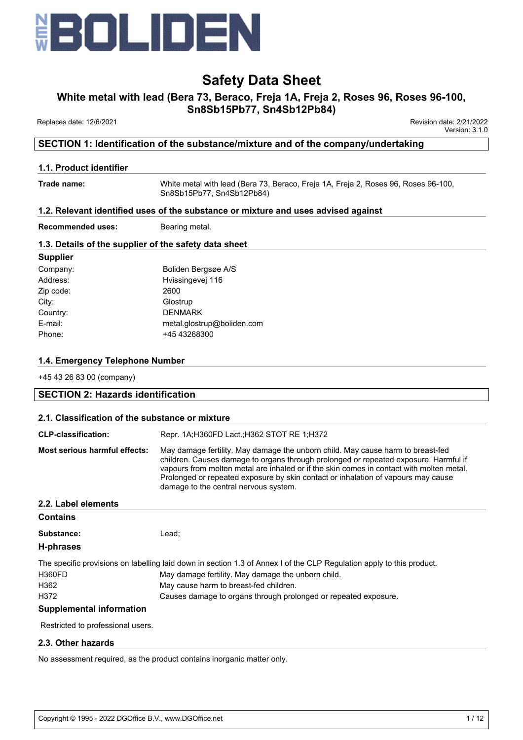

# **White metal with lead (Bera 73, Beraco, Freja 1A, Freja 2, Roses 96, Roses 96-100,**

**Sn8Sb15Pb77, Sn4Sb12Pb84)**

Replaces date: 12/6/2021 Revision date: 2/21/2022

Version: 3.1.0

# **SECTION 1: Identification of the substance/mixture and of the company/undertaking**

### **1.1. Product identifier**

**Trade name:** White metal with lead (Bera 73, Beraco, Freja 1A, Freja 2, Roses 96, Roses 96-100, Sn8Sb15Pb77, Sn4Sb12Pb84)

### **1.2. Relevant identified uses of the substance or mixture and uses advised against**

**Recommended uses:** Bearing metal.

### **1.3. Details of the supplier of the safety data sheet**

| <b>Supplier</b> |                            |
|-----------------|----------------------------|
| Company:        | Boliden Bergsøe A/S        |
| Address:        | Hvissingevej 116           |
| Zip code:       | 2600                       |
| City:           | Glostrup                   |
| Country:        | <b>DENMARK</b>             |
| E-mail:         | metal.glostrup@boliden.com |
| Phone:          | +45 43268300               |
|                 |                            |

## **1.4. Emergency Telephone Number**

+45 43 26 83 00 (company)

### **SECTION 2: Hazards identification**

### **2.1. Classification of the substance or mixture**

| <b>CLP-classification:</b>        | Repr. 1A;H360FD Lact.;H362 STOT RE 1;H372                                                                                                                                                                                                                                                                                                                                                         |  |
|-----------------------------------|---------------------------------------------------------------------------------------------------------------------------------------------------------------------------------------------------------------------------------------------------------------------------------------------------------------------------------------------------------------------------------------------------|--|
| Most serious harmful effects:     | May damage fertility. May damage the unborn child. May cause harm to breast-fed<br>children. Causes damage to organs through prolonged or repeated exposure. Harmful if<br>vapours from molten metal are inhaled or if the skin comes in contact with molten metal.<br>Prolonged or repeated exposure by skin contact or inhalation of vapours may cause<br>damage to the central nervous system. |  |
| 2.2. Label elements               |                                                                                                                                                                                                                                                                                                                                                                                                   |  |
| <b>Contains</b>                   |                                                                                                                                                                                                                                                                                                                                                                                                   |  |
| Substance:                        | Lead:                                                                                                                                                                                                                                                                                                                                                                                             |  |
| H-phrases                         |                                                                                                                                                                                                                                                                                                                                                                                                   |  |
|                                   | The specific provisions on labelling laid down in section 1.3 of Annex I of the CLP Regulation apply to this product.                                                                                                                                                                                                                                                                             |  |
| <b>H360FD</b>                     | May damage fertility. May damage the unborn child.                                                                                                                                                                                                                                                                                                                                                |  |
| H362                              | May cause harm to breast-fed children.                                                                                                                                                                                                                                                                                                                                                            |  |
| H372                              | Causes damage to organs through prolonged or repeated exposure.                                                                                                                                                                                                                                                                                                                                   |  |
| <b>Supplemental information</b>   |                                                                                                                                                                                                                                                                                                                                                                                                   |  |
| Restricted to professional users. |                                                                                                                                                                                                                                                                                                                                                                                                   |  |

### **2.3. Other hazards**

No assessment required, as the product contains inorganic matter only.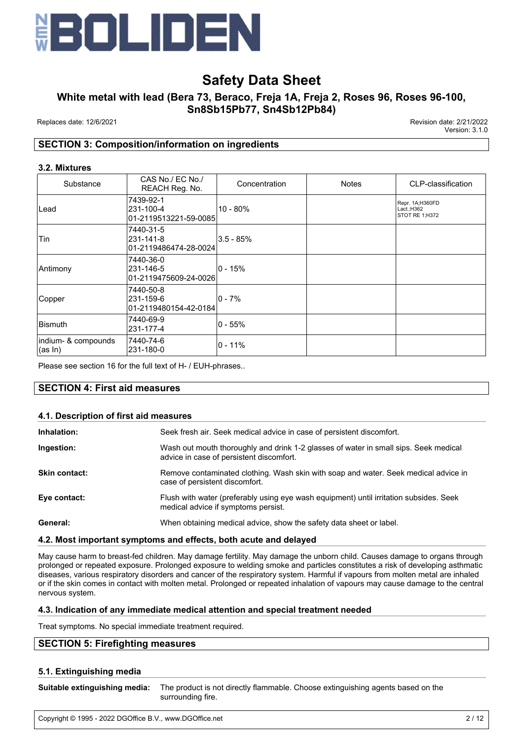

# **White metal with lead (Bera 73, Beraco, Freja 1A, Freja 2, Roses 96, Roses 96-100, Sn8Sb15Pb77, Sn4Sb12Pb84)**

Replaces date: 12/6/2021 Revision date: 2/21/2022

Version: 3.1.0

# **SECTION 3: Composition/information on ingredients**

#### **3.2. Mixtures**

| Substance                      | CAS No./ EC No./<br>REACH Reg. No.              | Concentration | <b>Notes</b> | CLP-classification                              |
|--------------------------------|-------------------------------------------------|---------------|--------------|-------------------------------------------------|
| Lead                           | 7439-92-1<br>231-100-4<br>01-2119513221-59-0085 | $10 - 80%$    |              | Repr. 1A;H360FD<br>Lact.;H362<br>STOT RE 1;H372 |
| Tin                            | 7440-31-5<br>231-141-8<br>01-2119486474-28-0024 | $3.5 - 85%$   |              |                                                 |
| Antimony                       | 7440-36-0<br>231-146-5<br>01-2119475609-24-0026 | l0 - 15%      |              |                                                 |
| Copper                         | 7440-50-8<br>231-159-6<br>01-2119480154-42-0184 | l0 - 7%       |              |                                                 |
| ∣Bismuth                       | 7440-69-9<br>231-177-4                          | l0 - 55%      |              |                                                 |
| indium- & compounds<br>(as In) | 7440-74-6<br>231-180-0                          | l0 - 11%      |              |                                                 |

Please see section 16 for the full text of H- / EUH-phrases..

### **SECTION 4: First aid measures**

#### **4.1. Description of first aid measures**

| Inhalation:          | Seek fresh air. Seek medical advice in case of persistent discomfort.                                                            |
|----------------------|----------------------------------------------------------------------------------------------------------------------------------|
| Ingestion:           | Wash out mouth thoroughly and drink 1-2 glasses of water in small sips. Seek medical<br>advice in case of persistent discomfort. |
| <b>Skin contact:</b> | Remove contaminated clothing. Wash skin with soap and water. Seek medical advice in<br>case of persistent discomfort.            |
| Eye contact:         | Flush with water (preferably using eye wash equipment) until irritation subsides. Seek<br>medical advice if symptoms persist.    |
| General:             | When obtaining medical advice, show the safety data sheet or label.                                                              |

#### **4.2. Most important symptoms and effects, both acute and delayed**

May cause harm to breast-fed children. May damage fertility. May damage the unborn child. Causes damage to organs through prolonged or repeated exposure. Prolonged exposure to welding smoke and particles constitutes a risk of developing asthmatic diseases, various respiratory disorders and cancer of the respiratory system. Harmful if vapours from molten metal are inhaled or if the skin comes in contact with molten metal. Prolonged or repeated inhalation of vapours may cause damage to the central nervous system.

#### **4.3. Indication of any immediate medical attention and special treatment needed**

Treat symptoms. No special immediate treatment required.

## **SECTION 5: Firefighting measures**

#### **5.1. Extinguishing media**

| Suitable extinguishing media: The product is not directly flammable. Choose extinguishing agents based on the |
|---------------------------------------------------------------------------------------------------------------|
| surrounding fire.                                                                                             |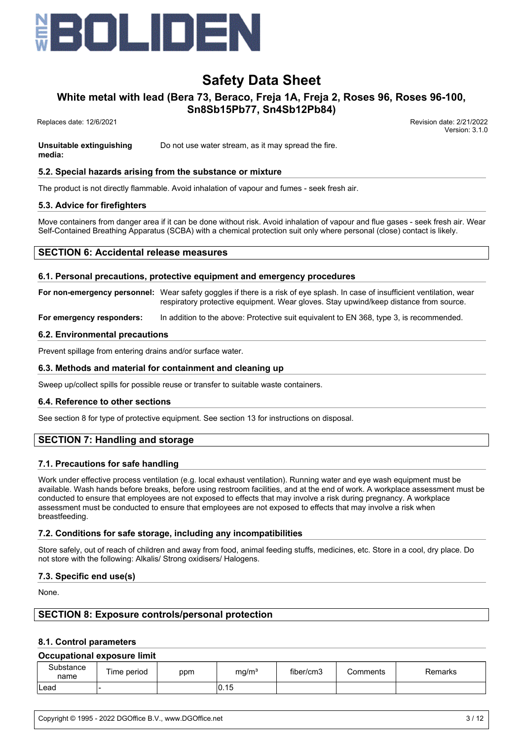

# **White metal with lead (Bera 73, Beraco, Freja 1A, Freja 2, Roses 96, Roses 96-100,**

**Sn8Sb15Pb77, Sn4Sb12Pb84)**

Replaces date: 12/6/2021 Revision date: 2/21/2022

Version: 3.1.0

**Unsuitable extinguishing media:** Do not use water stream, as it may spread the fire.

## **5.2. Special hazards arising from the substance or mixture**

The product is not directly flammable. Avoid inhalation of vapour and fumes - seek fresh air.

## **5.3. Advice for firefighters**

Move containers from danger area if it can be done without risk. Avoid inhalation of vapour and flue gases - seek fresh air. Wear Self-Contained Breathing Apparatus (SCBA) with a chemical protection suit only where personal (close) contact is likely.

# **SECTION 6: Accidental release measures**

### **6.1. Personal precautions, protective equipment and emergency procedures**

**For non-emergency personnel:** Wear safety goggles if there is a risk of eye splash. In case of insufficient ventilation, wear respiratory protective equipment. Wear gloves. Stay upwind/keep distance from source.

**For emergency responders:** In addition to the above: Protective suit equivalent to EN 368, type 3, is recommended.

### **6.2. Environmental precautions**

Prevent spillage from entering drains and/or surface water.

### **6.3. Methods and material for containment and cleaning up**

Sweep up/collect spills for possible reuse or transfer to suitable waste containers.

### **6.4. Reference to other sections**

See section 8 for type of protective equipment. See section 13 for instructions on disposal.

# **SECTION 7: Handling and storage**

### **7.1. Precautions for safe handling**

Work under effective process ventilation (e.g. local exhaust ventilation). Running water and eye wash equipment must be available. Wash hands before breaks, before using restroom facilities, and at the end of work. A workplace assessment must be conducted to ensure that employees are not exposed to effects that may involve a risk during pregnancy. A workplace assessment must be conducted to ensure that employees are not exposed to effects that may involve a risk when breastfeeding.

### **7.2. Conditions for safe storage, including any incompatibilities**

Store safely, out of reach of children and away from food, animal feeding stuffs, medicines, etc. Store in a cool, dry place. Do not store with the following: Alkalis/ Strong oxidisers/ Halogens.

### **7.3. Specific end use(s)**

None.

# **SECTION 8: Exposure controls/personal protection**

### **8.1. Control parameters**

### **Occupational exposure limit**

| Substance<br>name | Time period | ppm | mg/m <sup>3</sup> | fiber/cm3 | Comments | Remarks |
|-------------------|-------------|-----|-------------------|-----------|----------|---------|
| Lead              |             |     | 0.15              |           |          |         |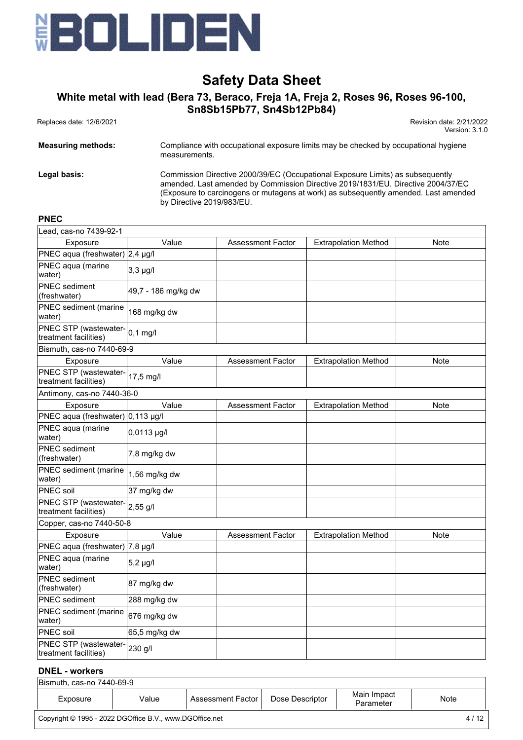

# **White metal with lead (Bera 73, Beraco, Freja 1A, Freja 2, Roses 96, Roses 96-100, Sn8Sb15Pb77, Sn4Sb12Pb84)**

 Replaces date: 12/6/2021 Revision date: 2/21/2022 Version: 3.1.0

| <b>Measuring methods:</b> | Compliance with occupational exposure limits may be checked by occupational hygiene<br>measurements.                                                                                                                                                      |
|---------------------------|-----------------------------------------------------------------------------------------------------------------------------------------------------------------------------------------------------------------------------------------------------------|
| Legal basis:              | Commission Directive 2000/39/EC (Occupational Exposure Limits) as subsequently<br>amended. Last amended by Commission Directive 2019/1831/EU. Directive 2004/37/EC<br>(Exposure to carcinogens or mutagens at work) as subsequently amended. Last amended |

by Directive 2019/983/EU.

#### **PNEC**

| Lead, cas-no 7439-92-1                         |                     |                          |                             |      |
|------------------------------------------------|---------------------|--------------------------|-----------------------------|------|
| Exposure                                       | Value               | <b>Assessment Factor</b> | <b>Extrapolation Method</b> | Note |
| PNEC aqua (freshwater) 2,4 µg/l                |                     |                          |                             |      |
| PNEC aqua (marine<br>water)                    | $3,3$ $\mu$ g/l     |                          |                             |      |
| PNEC sediment<br>(freshwater)                  | 49,7 - 186 mg/kg dw |                          |                             |      |
| <b>PNEC</b> sediment (marine<br>water)         | 168 mg/kg dw        |                          |                             |      |
| PNEC STP (wastewater-<br>treatment facilities) | $0,1$ mg/l          |                          |                             |      |
| Bismuth, cas-no 7440-69-9                      |                     |                          |                             |      |
| Exposure                                       | Value               | <b>Assessment Factor</b> | <b>Extrapolation Method</b> | Note |
| PNEC STP (wastewater-<br>treatment facilities) | 17,5 mg/l           |                          |                             |      |
| Antimony, cas-no 7440-36-0                     |                     |                          |                             |      |
| Exposure                                       | Value               | Assessment Factor        | <b>Extrapolation Method</b> | Note |
| PNEC aqua (freshwater) 0,113 µg/l              |                     |                          |                             |      |
| PNEC aqua (marine<br>water)                    | $0,0113$ µg/l       |                          |                             |      |
| <b>PNEC</b> sediment<br>(freshwater)           | 7,8 mg/kg dw        |                          |                             |      |
| PNEC sediment (marine<br>water)                | 1,56 mg/kg dw       |                          |                             |      |
| <b>PNEC</b> soil                               | 37 mg/kg dw         |                          |                             |      |
| PNEC STP (wastewater-<br>treatment facilities) | 2,55 g/l            |                          |                             |      |
| Copper, cas-no 7440-50-8                       |                     |                          |                             |      |
| Exposure                                       | Value               | <b>Assessment Factor</b> | <b>Extrapolation Method</b> | Note |
| PNEC aqua (freshwater)   7,8 µg/l              |                     |                          |                             |      |
| PNEC aqua (marine<br>water)                    | $5,2$ µg/l          |                          |                             |      |
| <b>PNEC</b> sediment<br>(freshwater)           | 87 mg/kg dw         |                          |                             |      |
| <b>PNEC</b> sediment                           | 288 mg/kg dw        |                          |                             |      |
| PNEC sediment (marine<br>water)                | 676 mg/kg dw        |                          |                             |      |
| PNEC soil                                      | 65,5 mg/kg dw       |                          |                             |      |
| PNEC STP (wastewater-<br>treatment facilities) | 230 g/l             |                          |                             |      |

## **DNEL - workers**

| Bismuth, cas-no 7440-69-9                                       |       |                            |                 |                          |      |
|-----------------------------------------------------------------|-------|----------------------------|-----------------|--------------------------|------|
| Exposure                                                        | Value | <b>Assessment Factor I</b> | Dose Descriptor | Main Impact<br>Parameter | Note |
| Copyright © 1995 - 2022 DGOffice B.V., www.DGOffice.net<br>4/12 |       |                            |                 |                          |      |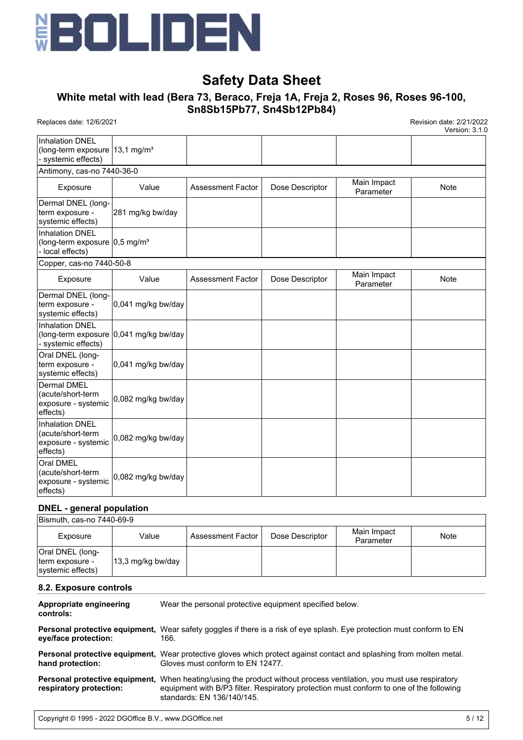

# **White metal with lead (Bera 73, Beraco, Freja 1A, Freja 2, Roses 96, Roses 96-100, Sn8Sb15Pb77, Sn4Sb12Pb84)**

Replaces date: 12/6/2021 Revision date: 2/21/2022

Version: 3.1.0

| <b>Inhalation DNEL</b><br>(long-term exposure $13,1 \text{ mg/m}^3$<br>systemic effects)  |                                        |                          |                 |                          |             |
|-------------------------------------------------------------------------------------------|----------------------------------------|--------------------------|-----------------|--------------------------|-------------|
| Antimony, cas-no 7440-36-0                                                                |                                        |                          |                 |                          |             |
| Exposure                                                                                  | Value                                  | <b>Assessment Factor</b> | Dose Descriptor | Main Impact<br>Parameter | <b>Note</b> |
| Dermal DNEL (long-<br>term exposure -<br>systemic effects)                                | 281 mg/kg bw/day                       |                          |                 |                          |             |
| <b>Inhalation DNEL</b><br>(long-term exposure $ 0,5 \text{ mg/m}^3$ )<br>- local effects) |                                        |                          |                 |                          |             |
| Copper, cas-no 7440-50-8                                                                  |                                        |                          |                 |                          |             |
| Exposure                                                                                  | Value                                  | <b>Assessment Factor</b> | Dose Descriptor | Main Impact<br>Parameter | <b>Note</b> |
| Dermal DNEL (long-<br>term exposure -<br>systemic effects)                                | 0,041 mg/kg bw/day                     |                          |                 |                          |             |
| <b>Inhalation DNEL</b><br>- systemic effects)                                             | (long-term exposure 0,041 mg/kg bw/day |                          |                 |                          |             |
| Oral DNEL (long-<br>term exposure -<br>systemic effects)                                  | 0,041 mg/kg bw/day                     |                          |                 |                          |             |
| <b>Dermal DMEL</b><br>(acute/short-term<br>exposure - systemic<br>effects)                | 0,082 mg/kg bw/day                     |                          |                 |                          |             |
| <b>Inhalation DNEL</b><br>(acute/short-term<br>exposure - systemic<br>effects)            | 0,082 mg/kg bw/day                     |                          |                 |                          |             |
| Oral DMEL<br>(acute/short-term<br>exposure - systemic<br>effects)                         | 0,082 mg/kg bw/day                     |                          |                 |                          |             |

# **DNEL - general population**

| Bismuth, cas-no 7440-69-9                                |                   |                     |                 |                          |      |
|----------------------------------------------------------|-------------------|---------------------|-----------------|--------------------------|------|
| Exposure                                                 | Value             | Assessment Factor I | Dose Descriptor | Main Impact<br>Parameter | Note |
| Oral DNEL (long-<br>term exposure -<br>systemic effects) | 13,3 mg/kg bw/day |                     |                 |                          |      |

## **8.2. Exposure controls**

| Appropriate engineering<br>controls:                      | Wear the personal protective equipment specified below.                                                                                                                                                       |
|-----------------------------------------------------------|---------------------------------------------------------------------------------------------------------------------------------------------------------------------------------------------------------------|
| eye/face protection:                                      | Personal protective equipment, Wear safety goggles if there is a risk of eye splash. Eye protection must conform to EN<br>166.                                                                                |
| hand protection:                                          | <b>Personal protective equipment.</b> Wear protective gloves which protect against contact and splashing from molten metal.<br>Gloves must conform to EN 12477.                                               |
| Personal protective equipment,<br>respiratory protection: | When heating/using the product without process ventilation, you must use respiratory<br>equipment with B/P3 filter. Respiratory protection must conform to one of the following<br>standards: EN 136/140/145. |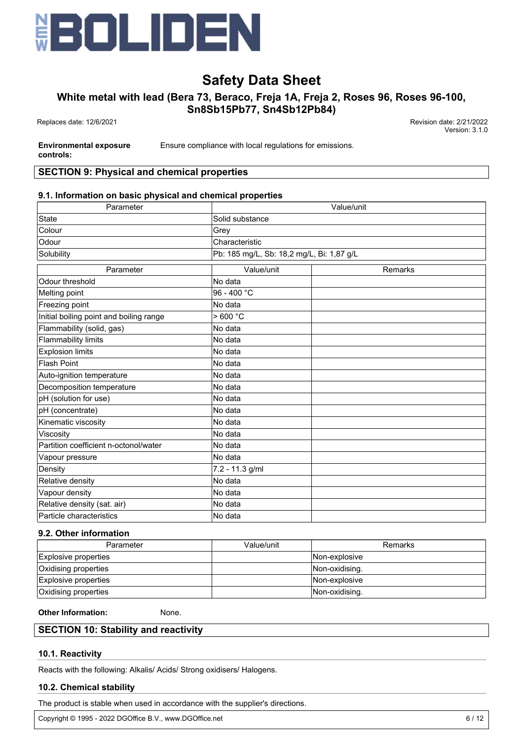

# **White metal with lead (Bera 73, Beraco, Freja 1A, Freja 2, Roses 96, Roses 96-100,**

**Sn8Sb15Pb77, Sn4Sb12Pb84)**

 Replaces date: 12/6/2021 Revision date: 2/21/2022 Version: 3.1.0

**Environmental exposure**

Ensure compliance with local regulations for emissions.

**controls:**

# **SECTION 9: Physical and chemical properties**

# **9.1. Information on basic physical and chemical properties**

| Parameter                               |                                           | Value/unit |  |  |  |
|-----------------------------------------|-------------------------------------------|------------|--|--|--|
| <b>State</b>                            | Solid substance                           |            |  |  |  |
| Colour                                  | Grey                                      |            |  |  |  |
| Odour                                   | Characteristic                            |            |  |  |  |
| Solubility                              | Pb: 185 mg/L, Sb: 18,2 mg/L, Bi: 1,87 g/L |            |  |  |  |
| Parameter                               | Value/unit                                | Remarks    |  |  |  |
| Odour threshold                         | No data                                   |            |  |  |  |
| Melting point                           | 96 - 400 °C                               |            |  |  |  |
| Freezing point                          | No data                                   |            |  |  |  |
| Initial boiling point and boiling range | >600 °C                                   |            |  |  |  |
| Flammability (solid, gas)               | No data                                   |            |  |  |  |
| <b>Flammability limits</b>              | No data                                   |            |  |  |  |
| <b>Explosion limits</b>                 | No data                                   |            |  |  |  |
| <b>Flash Point</b>                      | No data                                   |            |  |  |  |
| Auto-ignition temperature               | No data                                   |            |  |  |  |
| Decomposition temperature               | No data                                   |            |  |  |  |
| pH (solution for use)                   | No data                                   |            |  |  |  |
| pH (concentrate)                        | No data                                   |            |  |  |  |
| Kinematic viscosity                     | No data                                   |            |  |  |  |
| Viscosity                               | No data                                   |            |  |  |  |
| Partition coefficient n-octonol/water   | No data                                   |            |  |  |  |
| Vapour pressure                         | No data                                   |            |  |  |  |
| Density                                 | 7.2 - 11.3 g/ml                           |            |  |  |  |
| Relative density                        | No data                                   |            |  |  |  |
| Vapour density                          | No data                                   |            |  |  |  |
| Relative density (sat. air)             | No data                                   |            |  |  |  |
| Particle characteristics                | No data                                   |            |  |  |  |

# **9.2. Other information**

| Parameter                   | Value/unit | <b>Remarks</b> |
|-----------------------------|------------|----------------|
| Explosive properties        |            | Non-explosive  |
| Oxidising properties        |            | Non-oxidising. |
| Explosive properties        |            | Mon-explosive  |
| <b>Oxidising properties</b> |            | Non-oxidising. |

### **Other Information:** None.

# **SECTION 10: Stability and reactivity**

# **10.1. Reactivity**

Reacts with the following: Alkalis/ Acids/ Strong oxidisers/ Halogens.

# **10.2. Chemical stability**

The product is stable when used in accordance with the supplier's directions.

Copyright © 1995 - 2022 DGOffice B.V., www.DGOffice.net 6/12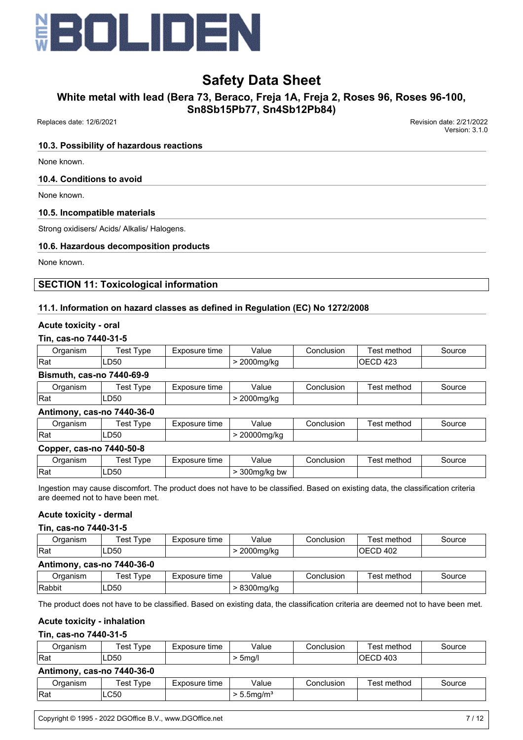

# **White metal with lead (Bera 73, Beraco, Freja 1A, Freja 2, Roses 96, Roses 96-100,**

**Sn8Sb15Pb77, Sn4Sb12Pb84)**

Replaces date: 12/6/2021 Revision date: 2/21/2022

Version: 3.1.0

### **10.3. Possibility of hazardous reactions**

None known.

## **10.4. Conditions to avoid**

None known.

## **10.5. Incompatible materials**

Strong oxidisers/ Acids/ Alkalis/ Halogens.

# **10.6. Hazardous decomposition products**

None known.

# **SECTION 11: Toxicological information**

# **11.1. Information on hazard classes as defined in Regulation (EC) No 1272/2008**

### **Acute toxicity - oral**

### **Tin, cas-no 7440-31-5**

| 0rganism         | est<br>vpe | time<br>-xposure | Value     | tonclusion | ∵method<br>est | Source |
|------------------|------------|------------------|-----------|------------|----------------|--------|
| <sup>I</sup> Rat | LD50       |                  | ∠000mg/kg |            | 423<br>ىن<br>◡ |        |
| — —<br>$\sim$    | _          |                  |           |            |                |        |

### **Bismuth, cas-no 7440-69-9**

| )rɑanısm         | est<br>vpe | time<br>-xposure | Value              | Conclusion | method<br>est | source |
|------------------|------------|------------------|--------------------|------------|---------------|--------|
| <sup>I</sup> Rat | LD50       |                  | $2000$ ma<br>ng/ka |            |               |        |

### **Antimony, cas-no 7440-36-0**

| .)raanism | `est<br><b>vpe</b> | osure<br>time<br>$-1$<br>n | ∨alue           | Conclusion | method<br>est | source |
|-----------|--------------------|----------------------------|-----------------|------------|---------------|--------|
| Rat       | ∟D50               |                            | 20000mg/kg<br>ັ |            |               |        |

## **Copper, cas-no 7440-50-8**

| <b>Jrganism</b> | est<br>vpe <sup>'</sup> | Exposure<br>time | Value                     | Conclusion | $\overline{\phantom{a}}$<br>method<br>'esı | source |
|-----------------|-------------------------|------------------|---------------------------|------------|--------------------------------------------|--------|
| !Raι            | LD50                    |                  | 300mg/kg bw<br>. .<br>. . |            |                                            |        |

Ingestion may cause discomfort. The product does not have to be classified. Based on existing data, the classification criteria are deemed not to have been met.

# **Acute toxicity - dermal**

### **Tin, cas-no 7440-31-5**

| Organism                   | Test Type | Exposure time | Value     | Conclusion | Test method | Source |
|----------------------------|-----------|---------------|-----------|------------|-------------|--------|
| <b>Rat</b>                 | LD50      |               | 2000mg/kg |            | OECD 402    |        |
| Antimony, cas-no 7440-36-0 |           |               |           |            |             |        |

| raaniam<br>. וסווי | ēst<br>' vpe | time<br>:posure | Value               | Conclusion | $\cdot$ .<br>method<br>est | source |
|--------------------|--------------|-----------------|---------------------|------------|----------------------------|--------|
| Rabbit             | ∟D50         |                 | 0.000<br>na/ko<br>ີ |            |                            |        |
|                    |              |                 |                     |            |                            |        |

The product does not have to be classified. Based on existing data, the classification criteria are deemed not to have been met.

## **Acute toxicity - inhalation**

### **Tin, cas-no 7440-31-5**

| ⊃rganism | vpe<br>est  | Exposure<br>time | √alue           | Conclusion | –<br>.<br>method<br>es <sup>t</sup> | source |
|----------|-------------|------------------|-----------------|------------|-------------------------------------|--------|
| Rat      | LD50<br>___ |                  | 5 <sub>ma</sub> |            | 403<br>…<br>$\cdots$                |        |

#### **Antimony, cas-no 7440-36-0**

| )raanism | 'est<br>vpe | time<br>posure | /alue               | onclusion, | .<br>method<br>est | source |
|----------|-------------|----------------|---------------------|------------|--------------------|--------|
| Rat      | <b>LC50</b> |                | $-$<br>دمما<br>וכ.י |            |                    |        |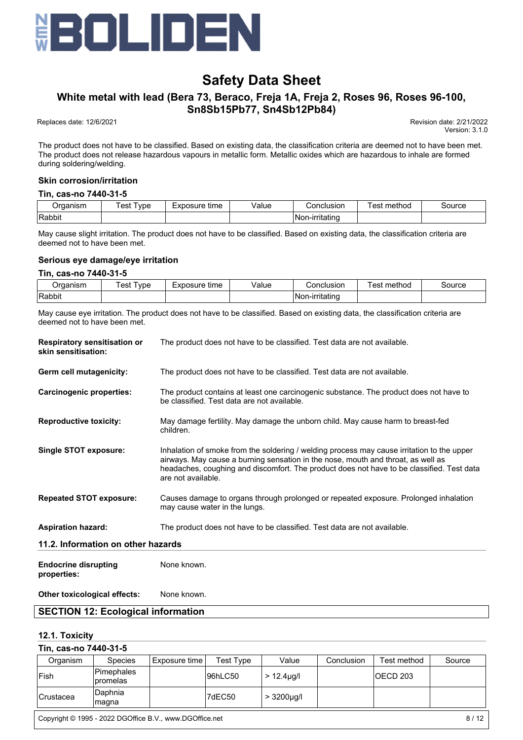

# **White metal with lead (Bera 73, Beraco, Freja 1A, Freja 2, Roses 96, Roses 96-100, Sn8Sb15Pb77, Sn4Sb12Pb84)**

Replaces date: 12/6/2021 Revision date: 2/21/2022

Version: 3.1.0

The product does not have to be classified. Based on existing data, the classification criteria are deemed not to have been met. The product does not release hazardous vapours in metallic form. Metallic oxides which are hazardous to inhale are formed during soldering/welding.

## **Skin corrosion/irritation**

#### **Tin, cas-no 7440-31-5**

| P<br>11511 | vpe<br>es | osure<br>time<br>$-vr$<br>– A L | 'alue<br>. | usion<br>ำท⊾               | method<br>ഛ | ource |
|------------|-----------|---------------------------------|------------|----------------------------|-------------|-------|
| Rabbit     |           |                                 |            | .ritatino<br>'Nor<br>า-เr. |             |       |

May cause slight irritation. The product does not have to be classified. Based on existing data, the classification criteria are deemed not to have been met.

## **Serious eye damage/eye irritation**

#### **Tin, cas-no 7440-31-5**

| ⊃rɑanısm | vpe<br>'est | Exposure<br>time | √alue | Conclusion           | method<br>est | source |
|----------|-------------|------------------|-------|----------------------|---------------|--------|
| Rabbit   |             |                  |       | n-ırrıtatınd<br>.Nor |               |        |

May cause eye irritation. The product does not have to be classified. Based on existing data, the classification criteria are deemed not to have been met.

| <b>Respiratory sensitisation or</b><br>skin sensitisation: | The product does not have to be classified. Test data are not available.                                                                                                                                                                                                                          |
|------------------------------------------------------------|---------------------------------------------------------------------------------------------------------------------------------------------------------------------------------------------------------------------------------------------------------------------------------------------------|
| Germ cell mutagenicity:                                    | The product does not have to be classified. Test data are not available.                                                                                                                                                                                                                          |
| <b>Carcinogenic properties:</b>                            | The product contains at least one carcinogenic substance. The product does not have to<br>be classified. Test data are not available.                                                                                                                                                             |
| <b>Reproductive toxicity:</b>                              | May damage fertility. May damage the unborn child. May cause harm to breast-fed<br>children.                                                                                                                                                                                                      |
| <b>Single STOT exposure:</b>                               | Inhalation of smoke from the soldering / welding process may cause irritation to the upper<br>airways. May cause a burning sensation in the nose, mouth and throat, as well as<br>headaches, coughing and discomfort. The product does not have to be classified. Test data<br>are not available. |
| <b>Repeated STOT exposure:</b>                             | Causes damage to organs through prolonged or repeated exposure. Prolonged inhalation<br>may cause water in the lungs.                                                                                                                                                                             |
| <b>Aspiration hazard:</b>                                  | The product does not have to be classified. Test data are not available.                                                                                                                                                                                                                          |
| 11.2. Information on other hazards                         |                                                                                                                                                                                                                                                                                                   |
| <b>Endocrine disrupting</b><br>properties:                 | None known.                                                                                                                                                                                                                                                                                       |

# **Other toxicological effects:** None known.

# **SECTION 12: Ecological information**

### **12.1. Toxicity**

| Tin, cas-no 7440-31-5 |                               |               |           |                  |            |             |        |  |
|-----------------------|-------------------------------|---------------|-----------|------------------|------------|-------------|--------|--|
| Organism              | <b>Species</b>                | Exposure time | Test Tvpe | Value            | Conclusion | Test method | Source |  |
| lFish                 | Pimephales<br><b>promelas</b> |               | 96hLC50   | $> 12.4 \mu q/l$ |            | IOECD 203   |        |  |
| <b>Crustacea</b>      | Daphnia<br> magna             |               | 7dEC50    | $> 3200 \mu q/l$ |            |             |        |  |

Copyright © 1995 - 2022 DGOffice B.V., www.DGOffice.net 8/12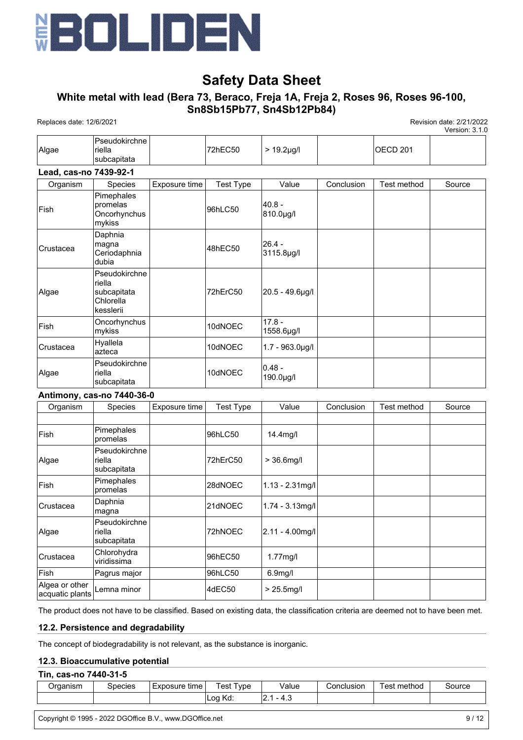

# **White metal with lead (Bera 73, Beraco, Freja 1A, Freja 2, Roses 96, Roses 96-100, Sn8Sb15Pb77, Sn4Sb12Pb84)**

Replaces date: 12/6/2021 Revision date: 2/21/2022

Version: 3.1.0

| Algae                  | Pseudokirchne<br>riella<br>subcapitata                           |               | 72hEC50          | $> 19.2 \mu g/l$       |            | <b>OECD 201</b> |        |
|------------------------|------------------------------------------------------------------|---------------|------------------|------------------------|------------|-----------------|--------|
| Lead, cas-no 7439-92-1 |                                                                  |               |                  |                        |            |                 |        |
| Organism               | Species                                                          | Exposure time | <b>Test Type</b> | Value                  | Conclusion | Test method     | Source |
| Fish                   | Pimephales<br>promelas<br>Oncorhynchus<br>mykiss                 |               | 96hLC50          | $40.8 -$<br>810.0µg/l  |            |                 |        |
| Crustacea              | Daphnia<br>magna<br>Ceriodaphnia<br>dubia                        |               | 48hEC50          | $26.4 -$<br>3115.8µg/l |            |                 |        |
| Algae                  | Pseudokirchne<br>riella<br>subcapitata<br>Chlorella<br>kesslerii |               | 72hErC50         | 20.5 - 49.6µg/l        |            |                 |        |
| Fish                   | Oncorhynchus<br>mykiss                                           |               | 10dNOEC          | $17.8 -$<br>1558.6µg/l |            |                 |        |
| Crustacea              | Hyallela<br>azteca                                               |               | 10dNOEC          | $1.7 - 963.0$ µg/l     |            |                 |        |
| Algae                  | Pseudokirchne<br>riella<br>subcapitata                           |               | 10dNOEC          | $0.48 -$<br>190.0µg/l  |            |                 |        |
|                        | Antimony, cas-no 7440-36-0                                       |               |                  |                        |            |                 |        |
| Organism               | Species                                                          | Exposure time | <b>Test Type</b> | Value                  | Conclusion | Test method     | Source |
| Fish                   | Pimephales<br>promelas                                           |               | 96hLC50          | 14.4mg/l               |            |                 |        |
|                        | Pseudokirchne                                                    |               |                  |                        |            |                 |        |

|                                   | promelas                                      |          |                      |  |  |
|-----------------------------------|-----------------------------------------------|----------|----------------------|--|--|
| Algae                             | Pseudokirchne<br><b>riella</b><br>subcapitata | 72hErC50 | $> 36.6$ mg/l        |  |  |
| <b>Fish</b>                       | Pimephales<br>promelas                        | 28dNOEC  | $1.13 - 2.31$ mg/l   |  |  |
| <b>Crustacea</b>                  | Daphnia<br>magna                              | 21dNOEC  | $1.74 - 3.13$ mg/l   |  |  |
| Algae                             | Pseudokirchne<br><b>riella</b><br>subcapitata | 72hNOEC  | $ 2.11 - 4.00$ mg/l  |  |  |
| lCrustacea                        | Chlorohydra<br>viridissima                    | 96hEC50  | $1.77$ mg/l          |  |  |
| Fish                              | Pagrus major                                  | 96hLC50  | 6.9 <sub>mg</sub> /l |  |  |
| Algea or other<br>acquatic plants | Lemna minor                                   | 4dEC50   | $> 25.5$ mg/l        |  |  |

The product does not have to be classified. Based on existing data, the classification criteria are deemed not to have been met.

### **12.2. Persistence and degradability**

The concept of biodegradability is not relevant, as the substance is inorganic.

### **12.3. Bioaccumulative potential**

#### **Tin, cas-no 7440-31-5**

| ⊃rɑanısm | Species | ∘tıme<br>Exposure | <u>I</u> vpe<br>'est | Value | .conclusion | ⊺est method | Source |
|----------|---------|-------------------|----------------------|-------|-------------|-------------|--------|
|          |         |                   | Log<br>17 A<br>rw.   | .     |             |             |        |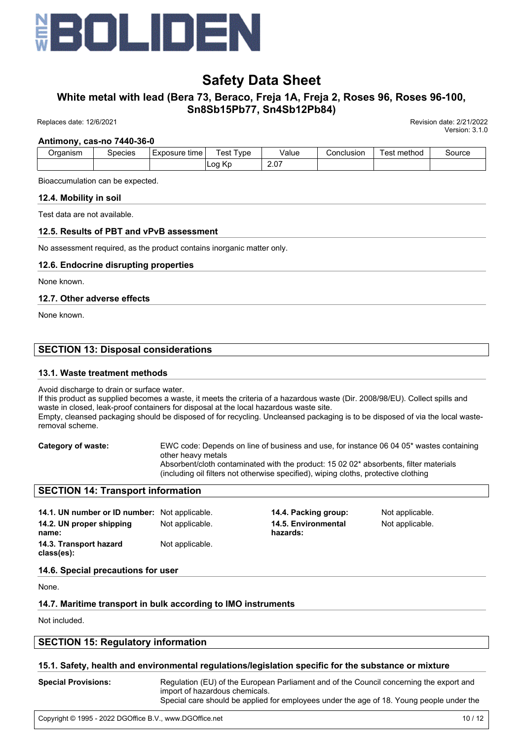

# **White metal with lead (Bera 73, Beraco, Freja 1A, Freja 2, Roses 96, Roses 96-100, Sn8Sb15Pb77, Sn4Sb12Pb84)**

Replaces date: 12/6/2021 Revision date: 2/21/2022

Version: 3.1.0

#### **Antimony, cas-no 7440-36-0**

| <b>Draanism</b> | Species | Exposure<br>time | vpe<br>'est               | Value | .onclusionٽ | . .<br>method<br>est | Source |
|-----------------|---------|------------------|---------------------------|-------|-------------|----------------------|--------|
|                 |         |                  | $\mathbf{z}$<br>Log<br>n. | 2.07  |             |                      |        |

Bioaccumulation can be expected.

#### **12.4. Mobility in soil**

Test data are not available.

### **12.5. Results of PBT and vPvB assessment**

No assessment required, as the product contains inorganic matter only.

## **12.6. Endocrine disrupting properties**

None known.

### **12.7. Other adverse effects**

None known.

# **SECTION 13: Disposal considerations**

### **13.1. Waste treatment methods**

Avoid discharge to drain or surface water.

If this product as supplied becomes a waste, it meets the criteria of a hazardous waste (Dir. 2008/98/EU). Collect spills and waste in closed, leak-proof containers for disposal at the local hazardous waste site. Empty, cleansed packaging should be disposed of for recycling. Uncleansed packaging is to be disposed of via the local wasteremoval scheme.

**Category of waste:** EWC code: Depends on line of business and use, for instance 06 04 05\* wastes containing other heavy metals Absorbent/cloth contaminated with the product: 15 02 02\* absorbents, filter materials (including oil filters not otherwise specified), wiping cloths, protective clothing

### **SECTION 14: Transport information**

**14.1. UN number or ID number:** Not applicable. **14.4. Packing group:** Not applicable. **14.2. UN proper shipping name: 14.3. Transport hazard class(es):** Not applicable.

Not applicable. **14.5. Environmental hazards:**

Not applicable.

**14.6. Special precautions for user**

None.

# **14.7. Maritime transport in bulk according to IMO instruments**

Not included.

# **SECTION 15: Regulatory information**

# **15.1. Safety, health and environmental regulations/legislation specific for the substance or mixture**

| <b>Special Provisions:</b> | Regulation (EU) of the European Parliament and of the Council concerning the export and<br>import of hazardous chemicals.<br>Special care should be applied for employees under the age of 18. Young people under the |
|----------------------------|-----------------------------------------------------------------------------------------------------------------------------------------------------------------------------------------------------------------------|
|                            |                                                                                                                                                                                                                       |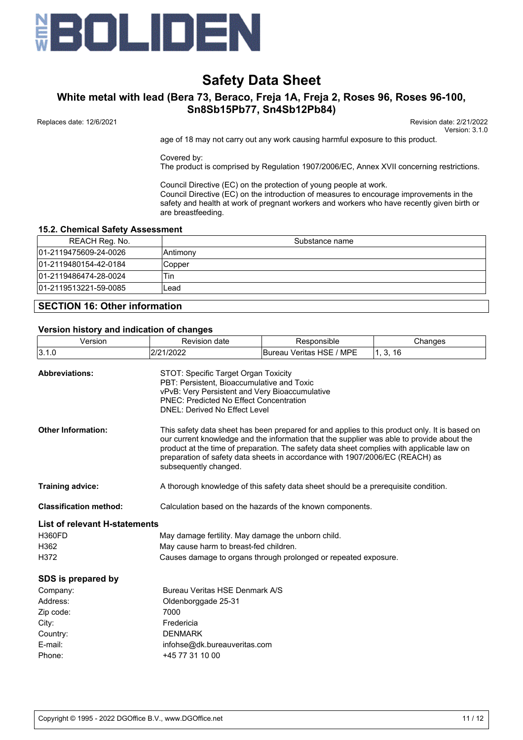

# **White metal with lead (Bera 73, Beraco, Freja 1A, Freja 2, Roses 96, Roses 96-100, Sn8Sb15Pb77, Sn4Sb12Pb84)**

 Replaces date: 12/6/2021 Revision date: 2/21/2022 Version: 3.1.0

age of 18 may not carry out any work causing harmful exposure to this product.

Covered by:

The product is comprised by Regulation 1907/2006/EC, Annex XVII concerning restrictions.

Council Directive (EC) on the protection of young people at work. Council Directive (EC) on the introduction of measures to encourage improvements in the safety and health at work of pregnant workers and workers who have recently given birth or are breastfeeding.

### **15.2. Chemical Safety Assessment**

| REACH Reg. No.        | Substance name |
|-----------------------|----------------|
| 01-2119475609-24-0026 | IAntimonv      |
| 01-2119480154-42-0184 | Copper         |
| 01-2119486474-28-0024 | Tin            |
| 01-2119513221-59-0085 | ∟ead           |
|                       |                |

# **SECTION 16: Other information**

#### **Version history and indication of changes**

| Version                       | <b>Revision date</b>                                                                                                                                                                                                                                                                                                                                                                             | Responsible                                                                        | Changes  |  |  |  |  |  |
|-------------------------------|--------------------------------------------------------------------------------------------------------------------------------------------------------------------------------------------------------------------------------------------------------------------------------------------------------------------------------------------------------------------------------------------------|------------------------------------------------------------------------------------|----------|--|--|--|--|--|
| 3.1.0                         | 2/21/2022                                                                                                                                                                                                                                                                                                                                                                                        | Bureau Veritas HSE / MPE                                                           | 1, 3, 16 |  |  |  |  |  |
| <b>Abbreviations:</b>         | STOT: Specific Target Organ Toxicity<br>PBT: Persistent, Bioaccumulative and Toxic<br>vPvB: Very Persistent and Very Bioaccumulative<br><b>PNEC: Predicted No Effect Concentration</b><br><b>DNEL: Derived No Effect Level</b>                                                                                                                                                                   |                                                                                    |          |  |  |  |  |  |
| <b>Other Information:</b>     | This safety data sheet has been prepared for and applies to this product only. It is based on<br>our current knowledge and the information that the supplier was able to provide about the<br>product at the time of preparation. The safety data sheet complies with applicable law on<br>preparation of safety data sheets in accordance with 1907/2006/EC (REACH) as<br>subsequently changed. |                                                                                    |          |  |  |  |  |  |
| <b>Training advice:</b>       |                                                                                                                                                                                                                                                                                                                                                                                                  | A thorough knowledge of this safety data sheet should be a prerequisite condition. |          |  |  |  |  |  |
| <b>Classification method:</b> |                                                                                                                                                                                                                                                                                                                                                                                                  | Calculation based on the hazards of the known components.                          |          |  |  |  |  |  |
| List of relevant H-statements |                                                                                                                                                                                                                                                                                                                                                                                                  |                                                                                    |          |  |  |  |  |  |
| <b>H360FD</b>                 | May damage fertility. May damage the unborn child.                                                                                                                                                                                                                                                                                                                                               |                                                                                    |          |  |  |  |  |  |
| H362                          | May cause harm to breast-fed children.                                                                                                                                                                                                                                                                                                                                                           |                                                                                    |          |  |  |  |  |  |
| H372                          |                                                                                                                                                                                                                                                                                                                                                                                                  | Causes damage to organs through prolonged or repeated exposure.                    |          |  |  |  |  |  |
| SDS is prepared by            |                                                                                                                                                                                                                                                                                                                                                                                                  |                                                                                    |          |  |  |  |  |  |
| Company:                      | Bureau Veritas HSE Denmark A/S                                                                                                                                                                                                                                                                                                                                                                   |                                                                                    |          |  |  |  |  |  |
| Address:                      | Oldenborggade 25-31                                                                                                                                                                                                                                                                                                                                                                              |                                                                                    |          |  |  |  |  |  |
| Zip code:                     | 7000                                                                                                                                                                                                                                                                                                                                                                                             |                                                                                    |          |  |  |  |  |  |
| City:                         | Fredericia                                                                                                                                                                                                                                                                                                                                                                                       |                                                                                    |          |  |  |  |  |  |
| Country:                      | <b>DENMARK</b>                                                                                                                                                                                                                                                                                                                                                                                   |                                                                                    |          |  |  |  |  |  |
| E-mail:                       | infohse@dk.bureauveritas.com                                                                                                                                                                                                                                                                                                                                                                     |                                                                                    |          |  |  |  |  |  |
| Phone:                        | +45 77 31 10 00                                                                                                                                                                                                                                                                                                                                                                                  |                                                                                    |          |  |  |  |  |  |